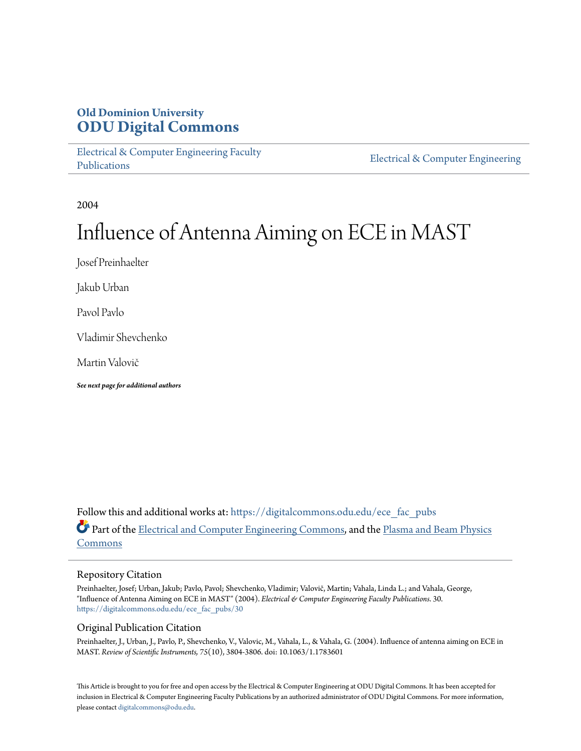## **Old Dominion University [ODU Digital Commons](https://digitalcommons.odu.edu?utm_source=digitalcommons.odu.edu%2Fece_fac_pubs%2F30&utm_medium=PDF&utm_campaign=PDFCoverPages)**

[Electrical & Computer Engineering Faculty](https://digitalcommons.odu.edu/ece_fac_pubs?utm_source=digitalcommons.odu.edu%2Fece_fac_pubs%2F30&utm_medium=PDF&utm_campaign=PDFCoverPages) [Publications](https://digitalcommons.odu.edu/ece_fac_pubs?utm_source=digitalcommons.odu.edu%2Fece_fac_pubs%2F30&utm_medium=PDF&utm_campaign=PDFCoverPages)

[Electrical & Computer Engineering](https://digitalcommons.odu.edu/ece?utm_source=digitalcommons.odu.edu%2Fece_fac_pubs%2F30&utm_medium=PDF&utm_campaign=PDFCoverPages)

2004

# Influence of Antenna Aiming on ECE in MAST

Josef Preinhaelter

Jakub Urban

Pavol Pavlo

Vladimir Shevchenko

Martin Valovič

*See next page for additional authors*

Follow this and additional works at: [https://digitalcommons.odu.edu/ece\\_fac\\_pubs](https://digitalcommons.odu.edu/ece_fac_pubs?utm_source=digitalcommons.odu.edu%2Fece_fac_pubs%2F30&utm_medium=PDF&utm_campaign=PDFCoverPages) Part of the [Electrical and Computer Engineering Commons](http://network.bepress.com/hgg/discipline/266?utm_source=digitalcommons.odu.edu%2Fece_fac_pubs%2F30&utm_medium=PDF&utm_campaign=PDFCoverPages), and the [Plasma and Beam Physics](http://network.bepress.com/hgg/discipline/205?utm_source=digitalcommons.odu.edu%2Fece_fac_pubs%2F30&utm_medium=PDF&utm_campaign=PDFCoverPages) [Commons](http://network.bepress.com/hgg/discipline/205?utm_source=digitalcommons.odu.edu%2Fece_fac_pubs%2F30&utm_medium=PDF&utm_campaign=PDFCoverPages)

#### Repository Citation

Preinhaelter, Josef; Urban, Jakub; Pavlo, Pavol; Shevchenko, Vladimir; Valovič, Martin; Vahala, Linda L.; and Vahala, George, "Influence of Antenna Aiming on ECE in MAST" (2004). *Electrical & Computer Engineering Faculty Publications*. 30. [https://digitalcommons.odu.edu/ece\\_fac\\_pubs/30](https://digitalcommons.odu.edu/ece_fac_pubs/30?utm_source=digitalcommons.odu.edu%2Fece_fac_pubs%2F30&utm_medium=PDF&utm_campaign=PDFCoverPages)

## Original Publication Citation

Preinhaelter, J., Urban, J., Pavlo, P., Shevchenko, V., Valovic, M., Vahala, L., & Vahala, G. (2004). Influence of antenna aiming on ECE in MAST. *Review of Scientific Instruments, 75*(10), 3804-3806. doi: 10.1063/1.1783601

This Article is brought to you for free and open access by the Electrical & Computer Engineering at ODU Digital Commons. It has been accepted for inclusion in Electrical & Computer Engineering Faculty Publications by an authorized administrator of ODU Digital Commons. For more information, please contact [digitalcommons@odu.edu](mailto:digitalcommons@odu.edu).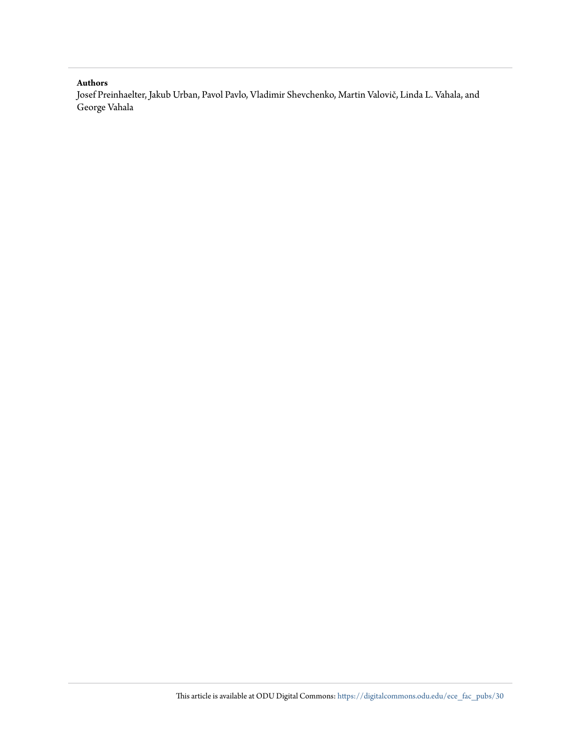### **Authors**

Josef Preinhaelter, Jakub Urban, Pavol Pavlo, Vladimir Shevchenko, Martin Valovič, Linda L. Vahala, and George Vahala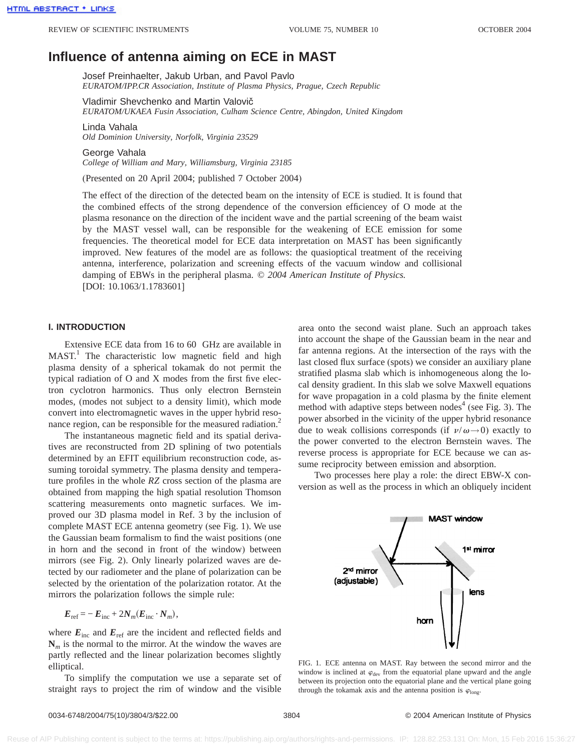# **Influence of antenna aiming on ECE in MAST**

Josef Preinhaelter, Jakub Urban, and Pavol Pavlo *EURATOM/IPP.CR Association, Institute of Plasma Physics, Prague, Czech Republic*

Vladimir Shevchenko and Martin Valovič *EURATOM/UKAEA Fusin Association, Culham Science Centre, Abingdon, United Kingdom*

Linda Vahala *Old Dominion University, Norfolk, Virginia 23529*

George Vahala *College of William and Mary, Williamsburg, Virginia 23185*

(Presented on 20 April 2004; published 7 October 2004)

The effect of the direction of the detected beam on the intensity of ECE is studied. It is found that the combined effects of the strong dependence of the conversion efficiencey of O mode at the plasma resonance on the direction of the incident wave and the partial screening of the beam waist by the MAST vessel wall, can be responsible for the weakening of ECE emission for some frequencies. The theoretical model for ECE data interpretation on MAST has been significantly improved. New features of the model are as follows: the quasioptical treatment of the receiving antenna, interference, polarization and screening effects of the vacuum window and collisional damping of EBWs in the peripheral plasma. © *2004 American Institute of Physics.* [DOI: 10.1063/1.1783601]

#### **I. INTRODUCTION**

Extensive ECE data from 16 to 60 GHz are available in  $MAST<sup>1</sup>$  The characteristic low magnetic field and high plasma density of a spherical tokamak do not permit the typical radiation of O and X modes from the first five electron cyclotron harmonics. Thus only electron Bernstein modes, (modes not subject to a density limit), which mode convert into electromagnetic waves in the upper hybrid resonance region, can be responsible for the measured radiation.<sup>2</sup>

The instantaneous magnetic field and its spatial derivatives are reconstructed from 2D splining of two potentials determined by an EFIT equilibrium reconstruction code, assuming toroidal symmetry. The plasma density and temperature profiles in the whole *RZ* cross section of the plasma are obtained from mapping the high spatial resolution Thomson scattering measurements onto magnetic surfaces. We improved our 3D plasma model in Ref. 3 by the inclusion of complete MAST ECE antenna geometry (see Fig. 1). We use the Gaussian beam formalism to find the waist positions (one in horn and the second in front of the window) between mirrors (see Fig. 2). Only linearly polarized waves are detected by our radiometer and the plane of polarization can be selected by the orientation of the polarization rotator. At the mirrors the polarization follows the simple rule:

$$
E_{\text{ref}} = -E_{\text{inc}} + 2N_m(E_{\text{inc}} \cdot N_m),
$$

where  $E_{\text{inc}}$  and  $E_{\text{ref}}$  are the incident and reflected fields and  $N<sub>m</sub>$  is the normal to the mirror. At the window the waves are partly reflected and the linear polarization becomes slightly elliptical.

To simplify the computation we use a separate set of straight rays to project the rim of window and the visible area onto the second waist plane. Such an approach takes into account the shape of the Gaussian beam in the near and far antenna regions. At the intersection of the rays with the last closed flux surface (spots) we consider an auxiliary plane stratified plasma slab which is inhomogeneous along the local density gradient. In this slab we solve Maxwell equations for wave propagation in a cold plasma by the finite element method with adaptive steps between nodes $4$  (see Fig. 3). The power absorbed in the vicinity of the upper hybrid resonance due to weak collisions corresponds (if  $v/\omega \rightarrow 0$ ) exactly to the power converted to the electron Bernstein waves. The reverse process is appropriate for ECE because we can assume reciprocity between emission and absorption.

Two processes here play a role: the direct EBW-X conversion as well as the process in which an obliquely incident



FIG. 1. ECE antenna on MAST. Ray between the second mirror and the window is inclined at  $\varphi_{\text{dev}}$  from the equatorial plane upward and the angle between its projection onto the equatorial plane and the vertical plane going through the tokamak axis and the antenna position is  $\varphi_{\text{long}}$ .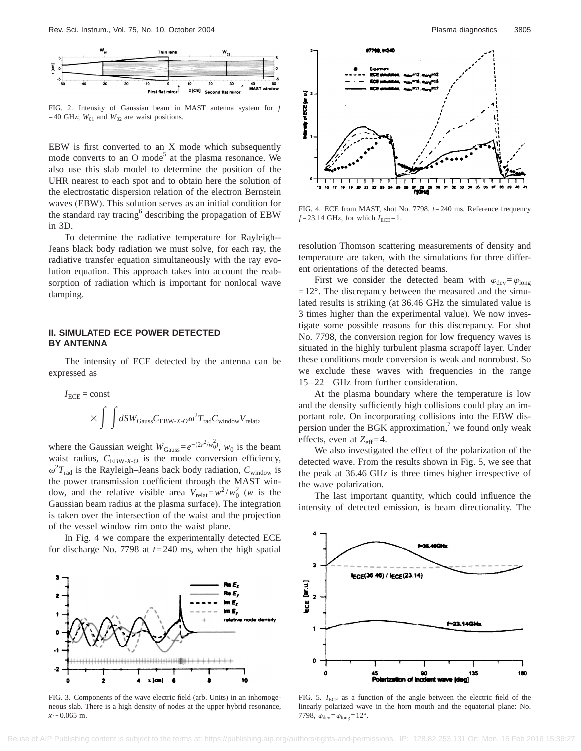

FIG. 2. Intensity of Gaussian beam in MAST antenna system for *f* =40 GHz;  $W_{01}$  and  $W_{02}$  are waist positions.

EBW is first converted to an X mode which subsequently mode converts to an O mode<sup>5</sup> at the plasma resonance. We also use this slab model to determine the position of the UHR nearest to each spot and to obtain here the solution of the electrostatic dispersion relation of the electron Bernstein waves (EBW). This solution serves as an initial condition for the standard ray tracing<sup>6</sup> describing the propagation of EBW in 3D.

To determine the radiative temperature for Rayleigh-- Jeans black body radiation we must solve, for each ray, the radiative transfer equation simultaneously with the ray evolution equation. This approach takes into account the reabsorption of radiation which is important for nonlocal wave damping.

#### **II. SIMULATED ECE POWER DETECTED BY ANTENNA**

The intensity of ECE detected by the antenna can be expressed as

$$
I_{\text{ECE}} = \text{const}
$$
  
 
$$
\times \int \int dSW_{\text{Gauss}} C_{\text{EBW-X-}O} \omega^2 T_{\text{rad}} C_{\text{window}} V_{\text{relat}},
$$

where the Gaussian weight  $W_{\text{Gauss}}=e^{-(2r^2/w_0^2)}$ ,  $w_0$  is the beam waist radius,  $C_{EBW-X-O}$  is the mode conversion efficiency,  $\omega^2 T_{\text{rad}}$  is the Rayleigh–Jeans back body radiation,  $C_{\text{window}}$  is the power transmission coefficient through the MAST window, and the relative visible area  $V_{relat} = w^2 / w_0^2$  (*w* is the Gaussian beam radius at the plasma surface). The integration is taken over the intersection of the waist and the projection of the vessel window rim onto the waist plane.

In Fig. 4 we compare the experimentally detected ECE for discharge No. 7798 at *t*=240 ms, when the high spatial



FIG. 3. Components of the wave electric field (arb. Units) in an inhomogeneous slab. There is a high density of nodes at the upper hybrid resonance,  $x \sim 0.065$  m.



FIG. 4. ECE from MAST, shot No. 7798, *t*=240 ms. Reference frequency  $f = 23.14$  GHz, for which  $I_{\text{ECE}} = 1$ .

resolution Thomson scattering measurements of density and temperature are taken, with the simulations for three different orientations of the detected beams.

First we consider the detected beam with  $\varphi_{\text{dev}} = \varphi_{\text{long}}$  $=12^{\circ}$ . The discrepancy between the measured and the simulated results is striking (at 36.46 GHz the simulated value is 3 times higher than the experimental value). We now investigate some possible reasons for this discrepancy. For shot No. 7798, the conversion region for low frequency waves is situated in the highly turbulent plasma scrapoff layer. Under these conditions mode conversion is weak and nonrobust. So we exclude these waves with frequencies in the range 15–22 GHz from further consideration.

At the plasma boundary where the temperature is low and the density sufficiently high collisions could play an important role. On incorporating collisions into the EBW dispersion under the BGK approximation, $\alpha$ <sup>7</sup> we found only weak effects, even at  $Z_{\text{eff}}=4$ .

We also investigated the effect of the polarization of the detected wave. From the results shown in Fig. 5, we see that the peak at 36.46 GHz is three times higher irrespective of the wave polarization.

The last important quantity, which could influence the intensity of detected emission, is beam directionality. The



FIG. 5. *I*<sub>ECE</sub> as a function of the angle between the electric field of the linearly polarized wave in the horn mouth and the equatorial plane: No. 7798,  $\varphi_{\text{dev}} = \varphi_{\text{long}} = 12^{\circ}$ .

Reuse of AIP Publishing content is subject to the terms at: https://publishing.aip.org/authors/rights-and-permissions. IP: 128.82.253.131 On: Mon, 15 Feb 2016 15:36:27